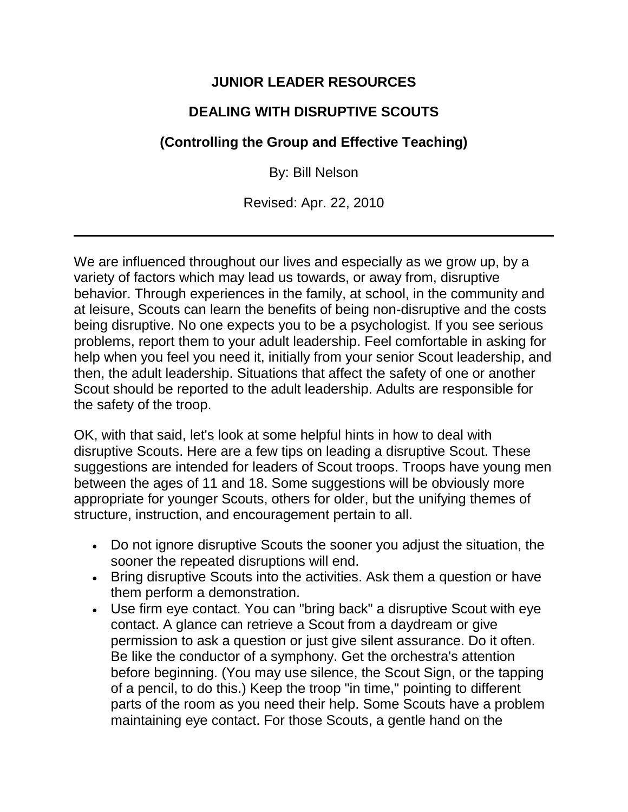## **JUNIOR LEADER RESOURCES**

## **DEALING WITH DISRUPTIVE SCOUTS**

## **(Controlling the Group and Effective Teaching)**

By: Bill Nelson

Revised: Apr. 22, 2010

We are influenced throughout our lives and especially as we grow up, by a variety of factors which may lead us towards, or away from, disruptive behavior. Through experiences in the family, at school, in the community and at leisure, Scouts can learn the benefits of being non-disruptive and the costs being disruptive. No one expects you to be a psychologist. If you see serious problems, report them to your adult leadership. Feel comfortable in asking for help when you feel you need it, initially from your senior Scout leadership, and then, the adult leadership. Situations that affect the safety of one or another Scout should be reported to the adult leadership. Adults are responsible for the safety of the troop.

OK, with that said, let's look at some helpful hints in how to deal with disruptive Scouts. Here are a few tips on leading a disruptive Scout. These suggestions are intended for leaders of Scout troops. Troops have young men between the ages of 11 and 18. Some suggestions will be obviously more appropriate for younger Scouts, others for older, but the unifying themes of structure, instruction, and encouragement pertain to all.

- Do not ignore disruptive Scouts the sooner you adjust the situation, the sooner the repeated disruptions will end.
- Bring disruptive Scouts into the activities. Ask them a question or have them perform a demonstration.
- Use firm eye contact. You can "bring back" a disruptive Scout with eye contact. A glance can retrieve a Scout from a daydream or give permission to ask a question or just give silent assurance. Do it often. Be like the conductor of a symphony. Get the orchestra's attention before beginning. (You may use silence, the Scout Sign, or the tapping of a pencil, to do this.) Keep the troop "in time," pointing to different parts of the room as you need their help. Some Scouts have a problem maintaining eye contact. For those Scouts, a gentle hand on the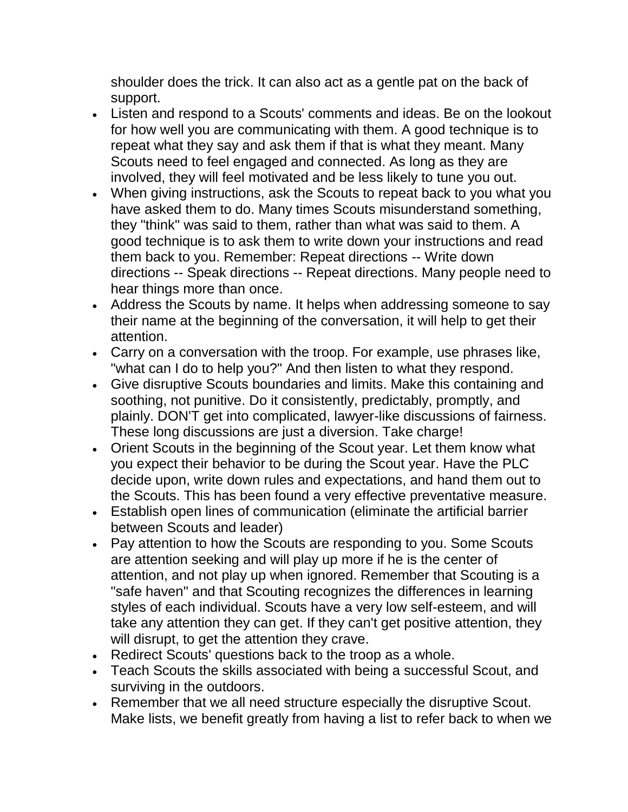shoulder does the trick. It can also act as a gentle pat on the back of support.

- Listen and respond to a Scouts' comments and ideas. Be on the lookout for how well you are communicating with them. A good technique is to repeat what they say and ask them if that is what they meant. Many Scouts need to feel engaged and connected. As long as they are involved, they will feel motivated and be less likely to tune you out.
- When giving instructions, ask the Scouts to repeat back to you what you have asked them to do. Many times Scouts misunderstand something, they "think" was said to them, rather than what was said to them. A good technique is to ask them to write down your instructions and read them back to you. Remember: Repeat directions -- Write down directions -- Speak directions -- Repeat directions. Many people need to hear things more than once.
- Address the Scouts by name. It helps when addressing someone to say their name at the beginning of the conversation, it will help to get their attention.
- Carry on a conversation with the troop. For example, use phrases like, "what can I do to help you?" And then listen to what they respond.
- Give disruptive Scouts boundaries and limits. Make this containing and soothing, not punitive. Do it consistently, predictably, promptly, and plainly. DON'T get into complicated, lawyer-like discussions of fairness. These long discussions are just a diversion. Take charge!
- Orient Scouts in the beginning of the Scout year. Let them know what you expect their behavior to be during the Scout year. Have the PLC decide upon, write down rules and expectations, and hand them out to the Scouts. This has been found a very effective preventative measure.
- Establish open lines of communication (eliminate the artificial barrier between Scouts and leader)
- Pay attention to how the Scouts are responding to you. Some Scouts are attention seeking and will play up more if he is the center of attention, and not play up when ignored. Remember that Scouting is a "safe haven" and that Scouting recognizes the differences in learning styles of each individual. Scouts have a very low self-esteem, and will take any attention they can get. If they can't get positive attention, they will disrupt, to get the attention they crave.
- Redirect Scouts' questions back to the troop as a whole.
- Teach Scouts the skills associated with being a successful Scout, and surviving in the outdoors.
- Remember that we all need structure especially the disruptive Scout. Make lists, we benefit greatly from having a list to refer back to when we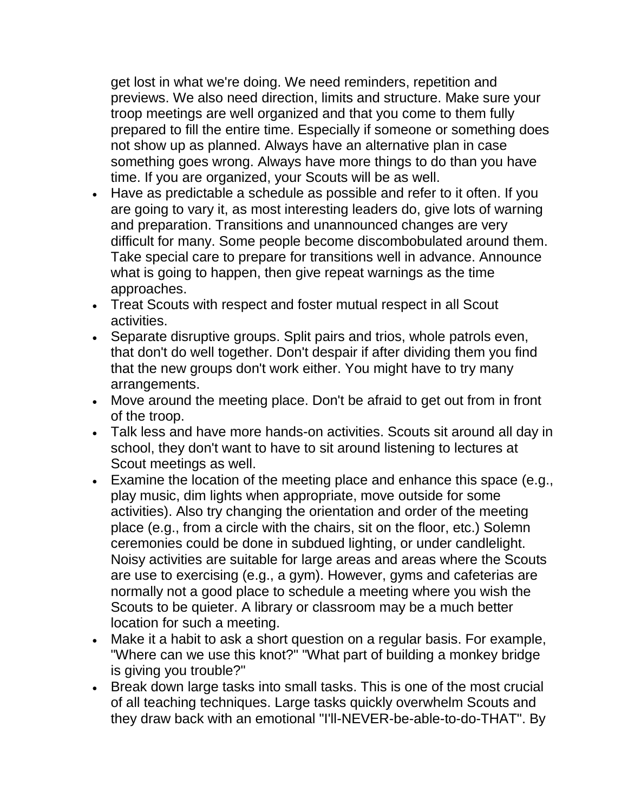get lost in what we're doing. We need reminders, repetition and previews. We also need direction, limits and structure. Make sure your troop meetings are well organized and that you come to them fully prepared to fill the entire time. Especially if someone or something does not show up as planned. Always have an alternative plan in case something goes wrong. Always have more things to do than you have time. If you are organized, your Scouts will be as well.

- Have as predictable a schedule as possible and refer to it often. If you are going to vary it, as most interesting leaders do, give lots of warning and preparation. Transitions and unannounced changes are very difficult for many. Some people become discombobulated around them. Take special care to prepare for transitions well in advance. Announce what is going to happen, then give repeat warnings as the time approaches.
- Treat Scouts with respect and foster mutual respect in all Scout activities.
- Separate disruptive groups. Split pairs and trios, whole patrols even, that don't do well together. Don't despair if after dividing them you find that the new groups don't work either. You might have to try many arrangements.
- Move around the meeting place. Don't be afraid to get out from in front of the troop.
- Talk less and have more hands-on activities. Scouts sit around all day in school, they don't want to have to sit around listening to lectures at Scout meetings as well.
- Examine the location of the meeting place and enhance this space (e.g., play music, dim lights when appropriate, move outside for some activities). Also try changing the orientation and order of the meeting place (e.g., from a circle with the chairs, sit on the floor, etc.) Solemn ceremonies could be done in subdued lighting, or under candlelight. Noisy activities are suitable for large areas and areas where the Scouts are use to exercising (e.g., a gym). However, gyms and cafeterias are normally not a good place to schedule a meeting where you wish the Scouts to be quieter. A library or classroom may be a much better location for such a meeting.
- Make it a habit to ask a short question on a regular basis. For example, "Where can we use this knot?" "What part of building a monkey bridge is giving you trouble?"
- Break down large tasks into small tasks. This is one of the most crucial of all teaching techniques. Large tasks quickly overwhelm Scouts and they draw back with an emotional "I'll-NEVER-be-able-to-do-THAT". By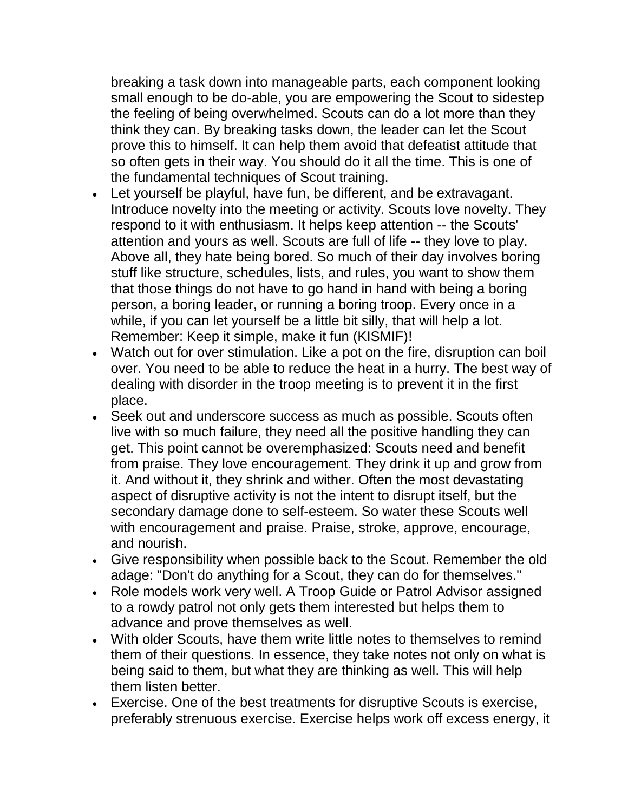breaking a task down into manageable parts, each component looking small enough to be do-able, you are empowering the Scout to sidestep the feeling of being overwhelmed. Scouts can do a lot more than they think they can. By breaking tasks down, the leader can let the Scout prove this to himself. It can help them avoid that defeatist attitude that so often gets in their way. You should do it all the time. This is one of the fundamental techniques of Scout training.

- Let yourself be playful, have fun, be different, and be extravagant. Introduce novelty into the meeting or activity. Scouts love novelty. They respond to it with enthusiasm. It helps keep attention -- the Scouts' attention and yours as well. Scouts are full of life -- they love to play. Above all, they hate being bored. So much of their day involves boring stuff like structure, schedules, lists, and rules, you want to show them that those things do not have to go hand in hand with being a boring person, a boring leader, or running a boring troop. Every once in a while, if you can let yourself be a little bit silly, that will help a lot. Remember: Keep it simple, make it fun (KISMIF)!
- Watch out for over stimulation. Like a pot on the fire, disruption can boil over. You need to be able to reduce the heat in a hurry. The best way of dealing with disorder in the troop meeting is to prevent it in the first place.
- Seek out and underscore success as much as possible. Scouts often live with so much failure, they need all the positive handling they can get. This point cannot be overemphasized: Scouts need and benefit from praise. They love encouragement. They drink it up and grow from it. And without it, they shrink and wither. Often the most devastating aspect of disruptive activity is not the intent to disrupt itself, but the secondary damage done to self-esteem. So water these Scouts well with encouragement and praise. Praise, stroke, approve, encourage, and nourish.
- Give responsibility when possible back to the Scout. Remember the old adage: "Don't do anything for a Scout, they can do for themselves."
- Role models work very well. A Troop Guide or Patrol Advisor assigned to a rowdy patrol not only gets them interested but helps them to advance and prove themselves as well.
- With older Scouts, have them write little notes to themselves to remind them of their questions. In essence, they take notes not only on what is being said to them, but what they are thinking as well. This will help them listen better.
- Exercise. One of the best treatments for disruptive Scouts is exercise, preferably strenuous exercise. Exercise helps work off excess energy, it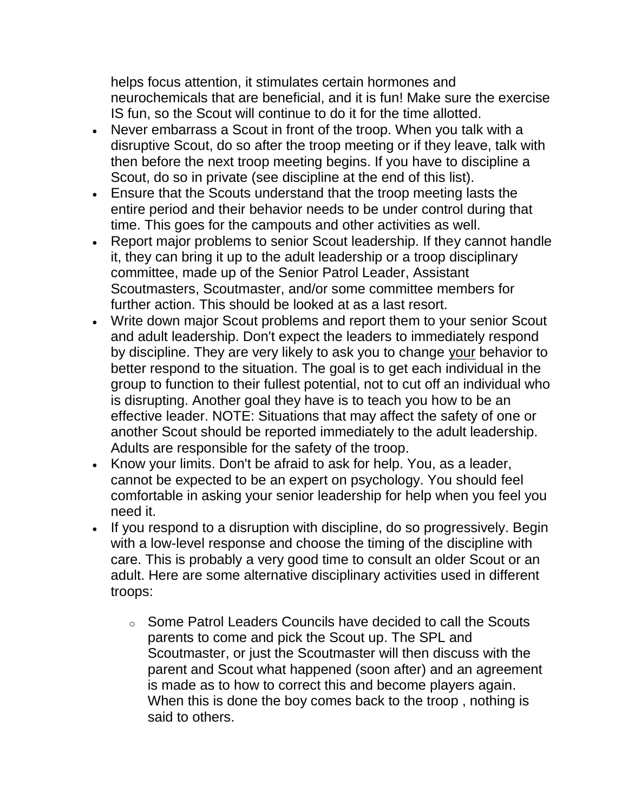helps focus attention, it stimulates certain hormones and neurochemicals that are beneficial, and it is fun! Make sure the exercise IS fun, so the Scout will continue to do it for the time allotted.

- Never embarrass a Scout in front of the troop. When you talk with a disruptive Scout, do so after the troop meeting or if they leave, talk with then before the next troop meeting begins. If you have to discipline a Scout, do so in private (see discipline at the end of this list).
- Ensure that the Scouts understand that the troop meeting lasts the entire period and their behavior needs to be under control during that time. This goes for the campouts and other activities as well.
- Report major problems to senior Scout leadership. If they cannot handle it, they can bring it up to the adult leadership or a troop disciplinary committee, made up of the Senior Patrol Leader, Assistant Scoutmasters, Scoutmaster, and/or some committee members for further action. This should be looked at as a last resort.
- Write down major Scout problems and report them to your senior Scout and adult leadership. Don't expect the leaders to immediately respond by discipline. They are very likely to ask you to change your behavior to better respond to the situation. The goal is to get each individual in the group to function to their fullest potential, not to cut off an individual who is disrupting. Another goal they have is to teach you how to be an effective leader. NOTE: Situations that may affect the safety of one or another Scout should be reported immediately to the adult leadership. Adults are responsible for the safety of the troop.
- Know your limits. Don't be afraid to ask for help. You, as a leader, cannot be expected to be an expert on psychology. You should feel comfortable in asking your senior leadership for help when you feel you need it.
- If you respond to a disruption with discipline, do so progressively. Begin with a low-level response and choose the timing of the discipline with care. This is probably a very good time to consult an older Scout or an adult. Here are some alternative disciplinary activities used in different troops:
	- o Some Patrol Leaders Councils have decided to call the Scouts parents to come and pick the Scout up. The SPL and Scoutmaster, or just the Scoutmaster will then discuss with the parent and Scout what happened (soon after) and an agreement is made as to how to correct this and become players again. When this is done the boy comes back to the troop , nothing is said to others.